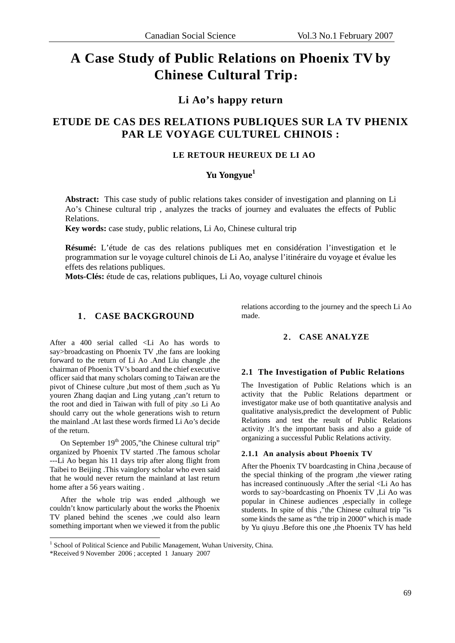# **A Case Study of Public Relations on Phoenix TV by Chinese Cultural Trip**:

## **Li Ao's happy return**

## **ETUDE DE CAS DES RELATIONS PUBLIQUES SUR LA TV PHENIX PAR LE VOYAGE CULTUREL CHINOIS :**

## **LE RETOUR HEUREUX DE LI AO**

## **Yu Yongyue<sup>1</sup>**

**Abstract:** This case study of public relations takes consider of investigation and planning on Li Ao's Chinese cultural trip , analyzes the tracks of journey and evaluates the effects of Public Relations.

**Key words:** case study, public relations, Li Ao, Chinese cultural trip

**Résumé:** L'étude de cas des relations publiques met en considération l'investigation et le programmation sur le voyage culturel chinois de Li Ao, analyse l'itinéraire du voyage et évalue les effets des relations publiques.

**Mots-Clés:** étude de cas, relations publiques, Li Ao, voyage culturel chinois

#### **1**. **CASE BACKGROUND**

After a 400 serial called <Li Ao has words to say>broadcasting on Phoenix TV ,the fans are looking forward to the return of Li Ao .And Liu changle ,the chairman of Phoenix TV's board and the chief executive officer said that many scholars coming to Taiwan are the pivot of Chinese culture ,but most of them ,such as Yu youren Zhang daqian and Ling yutang ,can't return to the root and died in Taiwan with full of pity .so Li Ao should carry out the whole generations wish to return the mainland .At last these words firmed Li Ao's decide of the return.

On September  $19<sup>th</sup>$  2005," the Chinese cultural trip" organized by Phoenix TV started .The famous scholar ---Li Ao began his 11 days trip after along flight from Taibei to Beijing .This vainglory scholar who even said that he would never return the mainland at last return home after a 56 years waiting .

After the whole trip was ended ,although we couldn't know particularly about the works the Phoenix TV planed behind the scenes ,we could also learn something important when we viewed it from the public

relations according to the journey and the speech Li Ao made.

#### **2**. **CASE ANALYZE**

#### **2.1 The Investigation of Public Relations**

The Investigation of Public Relations which is an activity that the Public Relations department or investigator make use of both quantitative analysis and qualitative analysis,predict the development of Public Relations and test the result of Public Relations activity .It's the important basis and also a guide of organizing a successful Public Relations activity.

#### **2.1.1 An analysis about Phoenix TV**

After the Phoenix TV boardcasting in China ,because of the special thinking of the program ,the viewer rating has increased continuously .After the serial <Li Ao has words to say>boardcasting on Phoenix TV ,Li Ao was popular in Chinese audiences ,especially in college students. In spite of this ,"the Chinese cultural trip "is some kinds the same as "the trip in 2000" which is made by Yu qiuyu .Before this one ,the Phoenix TV has held

<u>.</u>

<sup>&</sup>lt;sup>1</sup> School of Political Science and Pubilic Management, Wuhan University, China.

<sup>\*</sup>Received 9 November 2006 ; accepted 1 January 2007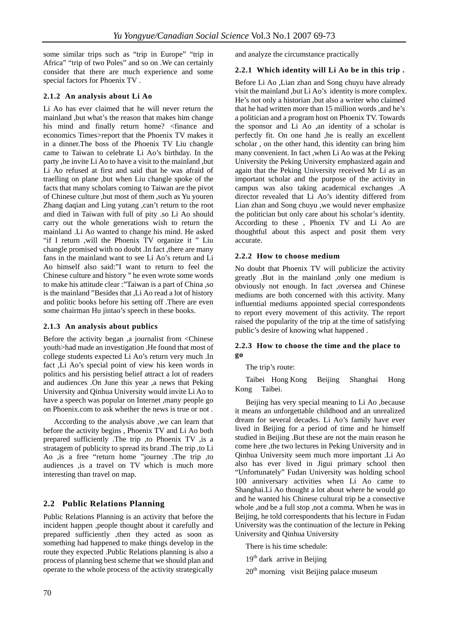some similar trips such as "trip in Europe" "trip in Africa" "trip of two Poles" and so on .We can certainly consider that there are much experience and some special factors for Phoenix TV .

#### **2.1.2 An analysis about Li Ao**

Li Ao has ever claimed that he will never return the mainland ,but what's the reason that makes him change his mind and finally return home? <finance and economics Times>report that the Phoenix TV makes it in a dinner.The boss of the Phoenix TV Liu changle came to Taiwan to celebrate Li Ao's birthday. In the party ,he invite Li Ao to have a visit to the mainland ,but Li Ao refused at first and said that he was afraid of traelling on plane ,but when Liu changle spoke of the facts that many scholars coming to Taiwan are the pivot of Chinese culture ,but most of them ,such as Yu youren Zhang daqian and Ling yutang ,can't return to the root and died in Taiwan with full of pity .so Li Ao should carry out the whole generations wish to return the mainland .Li Ao wanted to change his mind. He asked "if I return ,will the Phoenix TV organize it " Liu changle promised with no doubt .In fact ,there are many fans in the mainland want to see Li Ao's return and Li Ao himself also said:"I want to return to feel the Chinese culture and history " he even wrote some words to make his attitude clear :"Taiwan is a part of China ,so is the mainland "Besides that ,Li Ao read a lot of history and politic books before his setting off .There are even some chairman Hu jintao's speech in these books.

#### **2.1.3 An analysis about publics**

Before the activity began ,a journalist from <Chinese youth>had made an investigation .He found that most of college students expected Li Ao's return very much .In fact ,Li Ao's special point of view his keen words in politics and his persisting belief attract a lot of readers and audiences .On June this year ,a news that Peking University and Qinhua University would invite Li Ao to have a speech was popular on Internet ,many people go on Phoenix.com to ask whether the news is true or not .

According to the analysis above ,we can learn that before the activity begins , Phoenix TV and Li Ao both prepared sufficiently .The trip ,to Phoenix TV ,is a stratagem of publicity to spread its brand .The trip ,to Li Ao ,is a free "return home "journey .The trip ,to audiences ,is a travel on TV which is much more interesting than travel on map.

### **2.2 Public Relations Planning**

Public Relations Planning is an activity that before the incident happen ,people thought about it carefully and prepared sufficiently ,then they acted as soon as something had happened to make things develop in the route they expected .Public Relations planning is also a process of planning best scheme that we should plan and operate to the whole process of the activity strategically

and analyze the circumstance practically

#### **2.2.1 Which identity will Li Ao be in this trip .**

Before Li Ao ,Lian zhan and Song chuyu have already visit the mainland ,but Li Ao's identity is more complex. He's not only a historian ,but also a writer who claimed that he had written more than 15 million words ,and he's a politician and a program host on Phoenix TV. Towards the sponsor and Li Ao ,an identity of a scholar is perfectly fit. On one hand ,he is really an excellent scholar , on the other hand, this identity can bring him many convenient. In fact ,when Li Ao was at the Peking University the Peking University emphasized again and again that the Peking University received Mr Li as an important scholar and the purpose of the activity in campus was also taking academical exchanges .A director revealed that Li Ao's identity differed from Lian zhan and Song chuyu ,we would never emphasize the politician but only care about his scholar's identity. According to these , Phoenix TV and Li Ao are thoughtful about this aspect and posit them very accurate.

#### **2.2.2 How to choose medium**

No doubt that Phoenix TV will publicize the activity greatly .But in the mainland ,only one medium is obviously not enough. In fact ,oversea and Chinese mediums are both concerned with this activity. Many influential mediums appointed special correspondents to report every movement of this activity. The report raised the popularity of the trip at the time of satisfying public's desire of knowing what happened .

#### **2.2.3 How to choose the time and the place to go**

#### The trip's route:

Taibei Hong Kong Beijing Shanghai Hong Kong Taibei.

Beijing has very special meaning to Li Ao ,because it means an unforgettable childhood and an unrealized dream for several decades. Li Ao's family have ever lived in Beijing for a period of time and he himself studied in Beijing .But these are not the main reason he come here ,the two lectures in Peking University and in Qinhua University seem much more important .Li Ao also has ever lived in Jigui primary school then "Unfortunately" Fudan University was holding school 100 anniversary activities when Li Ao came to Shanghai.Li Ao thought a lot about where he would go and he wanted his Chinese cultural trip be a consective whole ,and be a full stop ,not a comma. When he was in Beijing, he told correspondents that his lecture in Fudan University was the continuation of the lecture in Peking University and Qinhua University

There is his time schedule:

 $19<sup>th</sup>$  dark arrive in Beijing

 $20<sup>th</sup>$  morning visit Beijing palace museum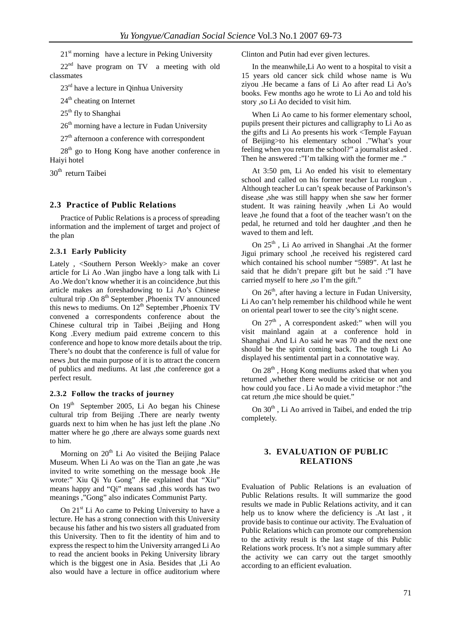$21<sup>st</sup>$  morning have a lecture in Peking University

 $22<sup>nd</sup>$  have program on TV a meeting with old classmates

23rd have a lecture in Qinhua University

 $24<sup>th</sup>$  cheating on Internet

25<sup>th</sup> fly to Shanghai

 $26<sup>th</sup>$  morning have a lecture in Fudan University

 $27<sup>th</sup>$  afternoon a conference with correspondent

 $28<sup>th</sup>$  go to Hong Kong have another conference in Haiyi hotel

30<sup>th</sup> return Taibei

#### **2.3 Practice of Public Relations**

Practice of Public Relations is a process of spreading information and the implement of target and project of the plan

#### **2.3.1 Early Publicity**

Lately , <Southern Person Weekly> make an cover article for Li Ao .Wan jingbo have a long talk with Li Ao .We don't know whether it is an coincidence ,but this article makes an foreshadowing to Li Ao's Chinese cultural trip .On  $8<sup>th</sup>$  September , Phoenix TV announced this news to mediums. On  $12<sup>th</sup>$  September , Phoenix TV convened a correspondents conference about the Chinese cultural trip in Taibei ,Beijing and Hong Kong .Every medium paid extreme concern to this conference and hope to know more details about the trip. There's no doubt that the conference is full of value for news ,but the main purpose of it is to attract the concern of publics and mediums. At last ,the conference got a perfect result.

#### **2.3.2 Follow the tracks of journey**

On 19<sup>th</sup> September 2005, Li Ao began his Chinese cultural trip from Beijing .There are nearly twenty guards next to him when he has just left the plane .No matter where he go ,there are always some guards next to him.

Morning on  $20<sup>th</sup>$  Li Ao visited the Beijing Palace Museum. When Li Ao was on the Tian an gate ,he was invited to write something on the message book .He wrote:" Xiu Qi Yu Gong" .He explained that "Xiu" means happy and "Qi" means sad ,this words has two meanings ,"Gong" also indicates Communist Party.

On  $21<sup>st</sup>$  Li Ao came to Peking University to have a lecture. He has a strong connection with this University because his father and his two sisters all graduated from this University. Then to fit the identity of him and to express the respect to him the University arranged Li Ao to read the ancient books in Peking University library which is the biggest one in Asia. Besides that ,Li Ao also would have a lecture in office auditorium where

Clinton and Putin had ever given lectures.

In the meanwhile,Li Ao went to a hospital to visit a 15 years old cancer sick child whose name is Wu ziyou .He became a fans of Li Ao after read Li Ao's books. Few months ago he wrote to Li Ao and told his story ,so Li Ao decided to visit him.

When Li Ao came to his former elementary school, pupils present their pictures and calligraphy to Li Ao as the gifts and Li Ao presents his work <Temple Fayuan of Beijing>to his elementary school ."What's your feeling when you return the school?" a journalist asked . Then he answered :"I'm talking with the former me ."

At 3:50 pm, Li Ao ended his visit to elementary school and called on his former teacher Lu rongkun . Although teacher Lu can't speak because of Parkinson's disease ,she was still happy when she saw her former student. It was raining heavily ,when Li Ao would leave ,he found that a foot of the teacher wasn't on the pedal, he returned and told her daughter ,and then he waved to them and left.

On  $25<sup>th</sup>$ , Li Ao arrived in Shanghai .At the former Jigui primary school ,he received his registered card which contained his school number "5989". At last he said that he didn't prepare gift but he said :"I have carried myself to here ,so I'm the gift."

On 26<sup>th</sup>, after having a lecture in Fudan University, Li Ao can't help remember his childhood while he went on oriental pearl tower to see the city's night scene.

On  $27<sup>th</sup>$ , A correspondent asked:" when will you visit mainland again at a conference hold in Shanghai .And Li Ao said he was 70 and the next one should be the spirit coming back. The tough Li Ao displayed his sentimental part in a connotative way.

On  $28<sup>th</sup>$ , Hong Kong mediums asked that when you returned ,whether there would be criticise or not and how could you face . Li Ao made a vivid metaphor :"the cat return ,the mice should be quiet."

On 30<sup>th</sup>, Li Ao arrived in Taibei, and ended the trip completely.

#### **3. EVALUATION OF PUBLIC RELATIONS**

Evaluation of Public Relations is an evaluation of Public Relations results. It will summarize the good results we made in Public Relations activity, and it can help us to know where the deficiency is .At last , it provide basis to continue our activity. The Evaluation of Public Relations which can promote our comprehension to the activity result is the last stage of this Public Relations work process. It's not a simple summary after the activity we can carry out the target smoothly according to an efficient evaluation.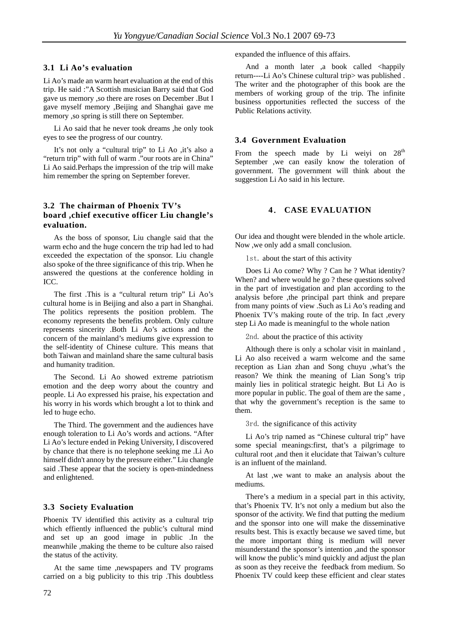#### **3.1 Li Ao's evaluation**

Li Ao's made an warm heart evaluation at the end of this trip. He said :"A Scottish musician Barry said that God gave us memory ,so there are roses on December .But I gave myself memory ,Beijing and Shanghai gave me memory ,so spring is still there on September.

Li Ao said that he never took dreams ,he only took eyes to see the progress of our country.

It's not only a "cultural trip" to Li Ao ,it's also a "return trip" with full of warm ."our roots are in China" Li Ao said.Perhaps the impression of the trip will make him remember the spring on September forever.

#### **3.2 The chairman of Phoenix TV's board ,chief executive officer Liu changle's evaluation.**

As the boss of sponsor, Liu changle said that the warm echo and the huge concern the trip had led to had exceeded the expectation of the sponsor. Liu changle also spoke of the three significance of this trip. When he answered the questions at the conference holding in ICC.

The first .This is a "cultural return trip" Li Ao's cultural home is in Beijing and also a part in Shanghai. The politics represents the position problem. The economy represents the benefits problem. Only culture represents sincerity .Both Li Ao's actions and the concern of the mainland's mediums give expression to the self-identity of Chinese culture. This means that both Taiwan and mainland share the same cultural basis and humanity tradition.

The Second. Li Ao showed extreme patriotism emotion and the deep worry about the country and people. Li Ao expressed his praise, his expectation and his worry in his words which brought a lot to think and led to huge echo.

The Third. The government and the audiences have enough toleration to Li Ao's words and actions. "After Li Ao's lecture ended in Peking University, I discovered by chance that there is no telephone seeking me .Li Ao himself didn't annoy by the pressure either." Liu changle said .These appear that the society is open-mindedness and enlightened.

#### **3.3 Society Evaluation**

Phoenix TV identified this activity as a cultural trip which effiently influenced the public's cultural mind and set up an good image in public .In the meanwhile ,making the theme to be culture also raised the status of the activity.

At the same time ,newspapers and TV programs carried on a big publicity to this trip .This doubtless expanded the influence of this affairs.

And a month later ,a book called <happily return----Li Ao's Chinese cultural trip> was published . The writer and the photographer of this book are the members of working group of the trip. The infinite business opportunities reflected the success of the Public Relations activity.

#### **3.4 Government Evaluation**

From the speech made by Li weiyi on  $28<sup>th</sup>$ September ,we can easily know the toleration of government. The government will think about the suggestion Li Ao said in his lecture.

#### **4**. **CASE EVALUATION**

Our idea and thought were blended in the whole article. Now ,we only add a small conclusion.

1st. about the start of this activity

Does Li Ao come? Why ? Can he ? What identity? When? and where would he go ? these questions solved in the part of investigation and plan according to the analysis before ,the principal part think and prepare from many points of view .Such as Li Ao's reading and Phoenix TV's making route of the trip. In fact , every step Li Ao made is meaningful to the whole nation

2nd. about the practice of this activity

Although there is only a scholar visit in mainland , Li Ao also received a warm welcome and the same reception as Lian zhan and Song chuyu ,what's the reason? We think the meaning of Lian Song's trip mainly lies in political strategic height. But Li Ao is more popular in public. The goal of them are the same , that why the government's reception is the same to them.

3rd. the significance of this activity

Li Ao's trip named as "Chinese cultural trip" have some special meanings:first, that's a pilgrimage to cultural root ,and then it elucidate that Taiwan's culture is an influent of the mainland.

At last ,we want to make an analysis about the mediums.

There's a medium in a special part in this activity, that's Phoenix TV. It's not only a medium but also the sponsor of the activity. We find that putting the medium and the sponsor into one will make the disseminative results best. This is exactly because we saved time, but the more important thing is medium will never misunderstand the sponsor's intention ,and the sponsor will know the public's mind quickly and adjust the plan as soon as they receive the feedback from medium. So Phoenix TV could keep these efficient and clear states